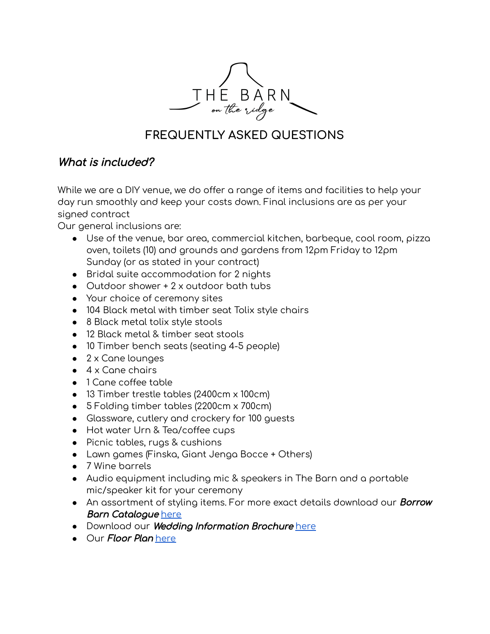

# **FREQUENTLY ASKED QUESTIONS**

## What is included?

While we are a DIY venue, we do offer a range of items and facilities to help your day run smoothly and keep your costs down. Final inclusions are as per your signed contract

Our general inclusions are:

- Use of the venue, bar area, commercial kitchen, barbeque, cool room, pizza oven, toilets (10) and grounds and gardens from 12pm Friday to 12pm Sunday (or as stated in your contract)
- Bridal suite accommodation for 2 nights
- Outdoor shower + 2 x outdoor bath tubs
- Your choice of ceremony sites
- 104 Black metal with timber seat Tolix style chairs
- 8 Black metal tolix style stools
- 12 Black metal & timber seat stools
- 10 Timber bench seats (seating 4-5 people)
- 2 x Cane lounges
- $\bullet$  4 x Cane chairs
- 1 Cane coffee table
- 13 Timber trestle tables (2400cm x 100cm)
- 5 Folding timber tables (2200cm x 700cm)
- Glassware, cutlery and crockery for 100 guests
- Hot water Urn & Tea/coffee cups
- Picnic tables, rugs & cushions
- Lawn games (Finska, Giant Jenga Bocce + Others)
- 7 Wine barrels
- Audio equipment including mic & speakers in The Barn and a portable mic/speaker kit for your ceremony
- An assortment of styling items. For more exact details download our **Borrow** Barn Catalogue [here](https://78ea0a43-dd65-468a-be20-827b1bbaa388.filesusr.com/ugd/03120f_499efa4beab64130ad74dcdcc6333450.pdf)
- Download our Wedding Information Brochure [here](https://78ea0a43-dd65-468a-be20-827b1bbaa388.filesusr.com/ugd/03120f_45a495093f1c4b158864030530566769.pdf)
- Our *Floor Plan* [here](https://78ea0a43-dd65-468a-be20-827b1bbaa388.filesusr.com/ugd/03120f_67e5558a83284696968f726718cdb0ec.pdf)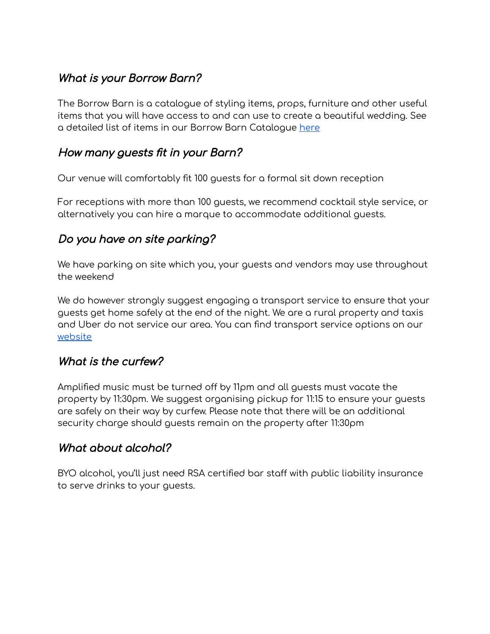## What is your Borrow Barn?

The Borrow Barn is a catalogue of styling items, props, furniture and other useful items that you will have access to and can use to create a beautiful wedding. See a detailed list of items in our Borrow Barn Catalogue [here](https://78ea0a43-dd65-468a-be20-827b1bbaa388.filesusr.com/ugd/03120f_499efa4beab64130ad74dcdcc6333450.pdf)

### How many guests fit in your Barn?

Our venue will comfortably fit 100 guests for a formal sit down reception

For receptions with more than 100 guests, we recommend cocktail style service, or alternatively you can hire a marque to accommodate additional guests.

## Do you have on site parking?

We have parking on site which you, your guests and vendors may use throughout the weekend

We do however strongly suggest engaging a transport service to ensure that your guests get home safely at the end of the night. We are a rural property and taxis and Uber do not service our area. You can find transport service options on our [website](https://www.thebarnontheridge.com.au/our-vendors)

### What is the curfew?

Amplified music must be turned off by 11pm and all guests must vacate the property by 11:30pm. We suggest organising pickup for 11:15 to ensure your guests are safely on their way by curfew. Please note that there will be an additional security charge should guests remain on the property after 11:30pm

### What about alcohol?

BYO alcohol, you'll just need RSA certified bar staff with public liability insurance to serve drinks to your guests.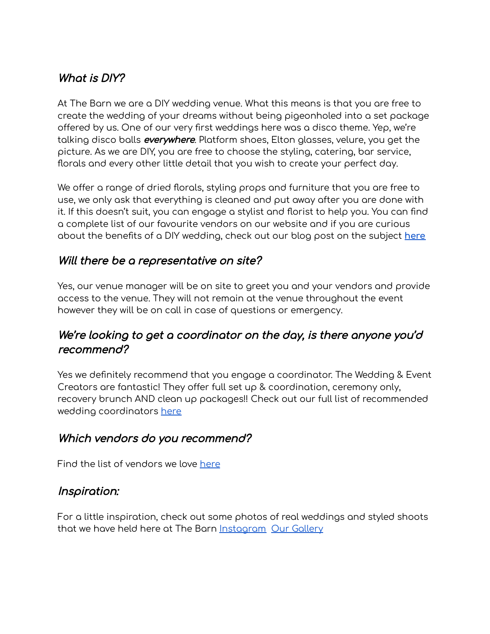## What is DIY?

At The Barn we are a DIY wedding venue. What this means is that you are free to create the wedding of your dreams without being pigeonholed into a set package offered by us. One of our very first weddings here was a disco theme. Yep, we're talking disco balls *everywhere*. Platform shoes, Elton glasses, velure, you get the picture. As we are DIY, you are free to choose the styling, catering, bar service, florals and every other little detail that you wish to create your perfect day.

We offer a range of dried florals, styling props and furniture that you are free to use, we only ask that everything is cleaned and put away after you are done with it. If this doesn't suit, you can engage a stylist and florist to help you. You can find a complete list of our favourite vendors on our website and if you are curious about the benefits of a DIY wedding, check out our blog post on the subject **[here](https://www.thebarnontheridge.com.au/blog)**

## Will there be <sup>a</sup> representative on site?

Yes, our venue manager will be on site to greet you and your vendors and provide access to the venue. They will not remain at the venue throughout the event however they will be on call in case of questions or emergency.

### We're looking to get a coordinator on the day, is there anyone you'd recommend?

Yes we definitely recommend that you engage a coordinator. The Wedding & Event Creators are fantastic! They offer full set up & coordination, ceremony only, recovery brunch AND clean up packages!! Check out our full list of recommended wedding coordinators [here](https://www.thebarnontheridge.com.au/our-vendors)

### Which vendors do you recommend?

Find the list of vendors we love [here](https://www.thebarnontheridge.com.au/our-vendors)

### Inspiration:

For a little inspiration, check out some photos of real weddings and styled shoots that we have held here at The Barn [Instagram](https://www.instagram.com/thebarnontheridge) Our [Gallery](https://www.thebarnontheridge.com.au/gallery)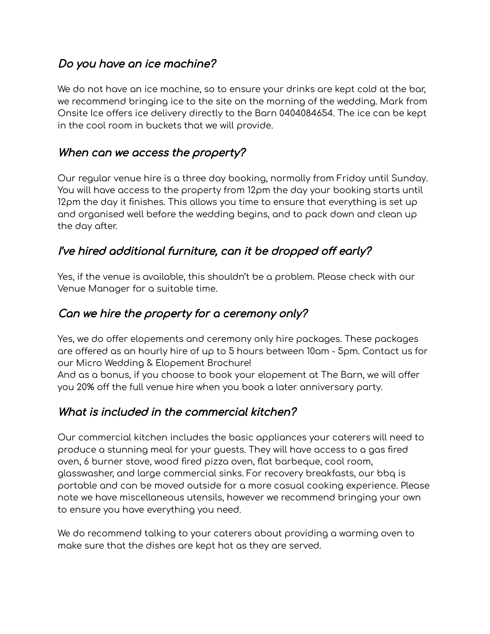## Do you have an ice machine?

We do not have an ice machine, so to ensure your drinks are kept cold at the bar, we recommend bringing ice to the site on the morning of the wedding. Mark from Onsite Ice offers ice delivery directly to the Barn 0404084654. The ice can be kept in the cool room in buckets that we will provide.

### When can we access the property?

Our regular venue hire is a three day booking, normally from Friday until Sunday. You will have access to the property from 12pm the day your booking starts until 12pm the day it finishes. This allows you time to ensure that everything is set up and organised well before the wedding begins, and to pack down and clean up the day after.

## I've hired additional furniture, can it be dropped off early?

Yes, if the venue is available, this shouldn't be a problem. Please check with our Venue Manager for a suitable time.

## Can we hire the property for <sup>a</sup> ceremony only?

Yes, we do offer elopements and ceremony only hire packages. These packages are offered as an hourly hire of up to 5 hours between 10am - 5pm. Contact us for our Micro Wedding & Elopement Brochure!

And as a bonus, if you choose to book your elopement at The Barn, we will offer you 20% off the full venue hire when you book a later anniversary party.

## What is included in the commercial kitchen?

Our commercial kitchen includes the basic appliances your caterers will need to produce a stunning meal for your guests. They will have access to a gas fired oven, 6 burner stove, wood fired pizza oven, flat barbeque, cool room, glasswasher, and large commercial sinks. For recovery breakfasts, our bbq is portable and can be moved outside for a more casual cooking experience. Please note we have miscellaneous utensils, however we recommend bringing your own to ensure you have everything you need.

We do recommend talking to your caterers about providing a warming oven to make sure that the dishes are kept hot as they are served.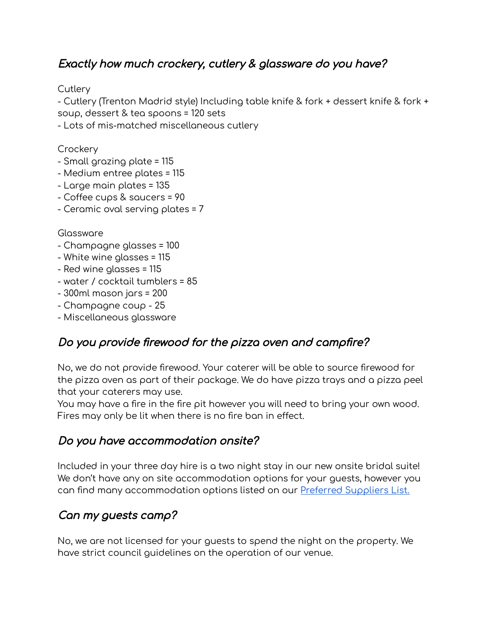## Exactly how much crockery, cutlery & glassware do you have?

**Cutlery** 

- Cutlery (Trenton Madrid style) Including table knife & fork + dessert knife & fork + soup, dessert & tea spoons = 120 sets

- Lots of mis-matched miscellaneous cutlery

**Crockery** 

- Small grazing plate = 115
- Medium entree plates = 115
- Large main plates = 135
- Coffee cups & saucers = 90
- Ceramic oval serving plates = 7

#### Glassware

- Champagne glasses = 100
- White wine glasses = 115
- Red wine glasses = 115
- water / cocktail tumblers = 85
- 300ml mason jars = 200
- Champagne coup 25
- Miscellaneous glassware

## Do you provide firewood for the pizza oven and campfire?

No, we do not provide firewood. Your caterer will be able to source firewood for the pizza oven as part of their package. We do have pizza trays and a pizza peel that your caterers may use.

You may have a fire in the fire pit however you will need to bring your own wood. Fires may only be lit when there is no fire ban in effect.

### Do you have accommodation onsite?

Included in your three day hire is a two night stay in our new onsite bridal suite! We don't have any on site accommodation options for your guests, however you can find many accommodation options listed on our Preferred [Suppliers](https://www.thebarnontheridge.com.au/our-vendors) List.

## Can my guests camp?

No, we are not licensed for your guests to spend the night on the property. We have strict council guidelines on the operation of our venue.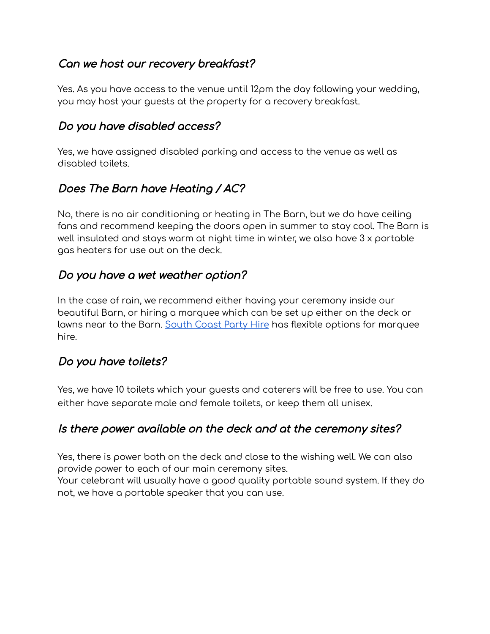## Can we host our recovery breakfast?

Yes. As you have access to the venue until 12pm the day following your wedding, you may host your guests at the property for a recovery breakfast.

### Do you have disabled access?

Yes, we have assigned disabled parking and access to the venue as well as disabled toilets.

## Does The Barn have Heating / AC?

No, there is no air conditioning or heating in The Barn, but we do have ceiling fans and recommend keeping the doors open in summer to stay cool. The Barn is well insulated and stays warm at night time in winter, we also have 3 x portable gas heaters for use out on the deck.

## Do you have <sup>a</sup> wet weather option?

In the case of rain, we recommend either having your ceremony inside our beautiful Barn, or hiring a marquee which can be set up either on the deck or lawns near to the Barn. [South](https://www.scph.com.au/wedding-hire-shoalhaven/wedding-hire-wollongong/wedding-marquee-hire-southern-highlands/) Coast Party Hire has flexible options for marquee hire.

### Do you have toilets?

Yes, we have 10 toilets which your guests and caterers will be free to use. You can either have separate male and female toilets, or keep them all unisex.

### Is there power available on the deck and at the ceremony sites?

Yes, there is power both on the deck and close to the wishing well. We can also provide power to each of our main ceremony sites.

Your celebrant will usually have a good quality portable sound system. If they do not, we have a portable speaker that you can use.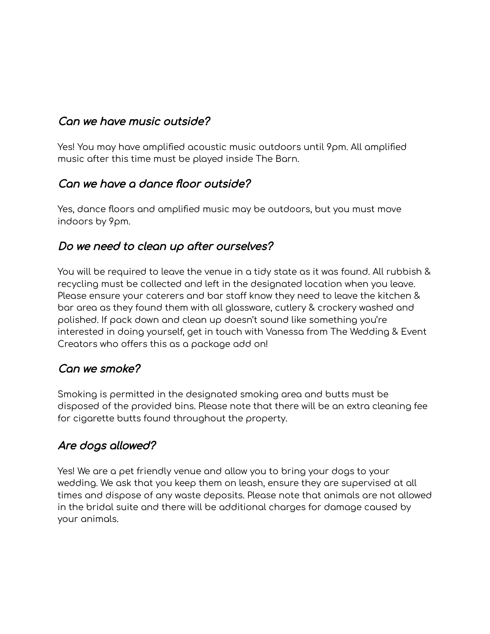## Can we have music outside?

Yes! You may have amplified acoustic music outdoors until 9pm. All amplified music after this time must be played inside The Barn.

### Can we have <sup>a</sup> dance floor outside?

Yes, dance floors and amplified music may be outdoors, but you must move indoors by 9pm.

### Do we need to clean up after ourselves?

You will be required to leave the venue in a tidy state as it was found. All rubbish & recycling must be collected and left in the designated location when you leave. Please ensure your caterers and bar staff know they need to leave the kitchen & bar area as they found them with all glassware, cutlery & crockery washed and polished. If pack down and clean up doesn't sound like something you're interested in doing yourself, get in touch with Vanessa from The Wedding & Event Creators who offers this as a package add on!

### Can we smoke?

Smoking is permitted in the designated smoking area and butts must be disposed of the provided bins. Please note that there will be an extra cleaning fee for cigarette butts found throughout the property.

## Are dogs allowed?

Yes! We are a pet friendly venue and allow you to bring your dogs to your wedding. We ask that you keep them on leash, ensure they are supervised at all times and dispose of any waste deposits. Please note that animals are not allowed in the bridal suite and there will be additional charges for damage caused by your animals.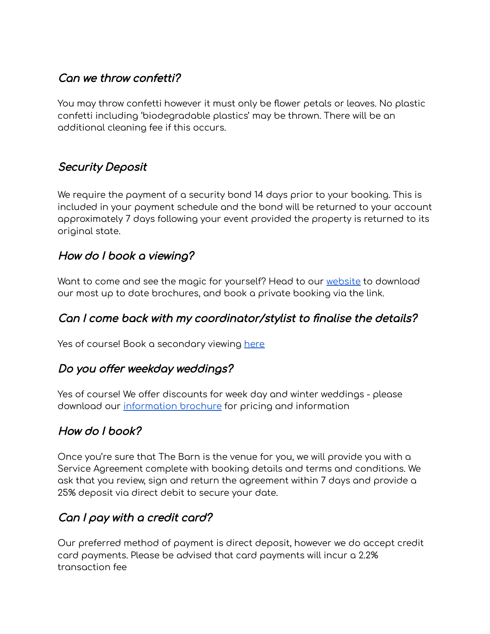## Can we throw confetti?

You may throw confetti however it must only be flower petals or leaves. No plastic confetti including 'biodegradable plastics' may be thrown. There will be an additional cleaning fee if this occurs.

## Security Deposit

We require the payment of a security bond 14 days prior to your booking. This is included in your payment schedule and the bond will be returned to your account approximately 7 days following your event provided the property is returned to its original state.

### How do I book <sup>a</sup> viewing?

Want to come and see the magic for yourself? Head to our [website](https://www.thebarnontheridge.com.au/contact-us) to download our most up to date brochures, and book a private booking via the link.

### Can I come back with my coordinator/stylist to finalise the details?

Yes of course! Book a secondary viewing [here](https://calendly.com/admin-3106/private-viewing-of-the-barn-on-the-ridge?month=2021-03)

### Do you offer weekday weddings?

Yes of course! We offer discounts for week day and winter weddings - please download our [information](https://78ea0a43-dd65-468a-be20-827b1bbaa388.filesusr.com/ugd/03120f_45a495093f1c4b158864030530566769.pdf) brochure for pricing and information

### How do I book?

Once you're sure that The Barn is the venue for you, we will provide you with a Service Agreement complete with booking details and terms and conditions. We ask that you review, sign and return the agreement within 7 days and provide a 25% deposit via direct debit to secure your date.

## Can I pay with <sup>a</sup> credit card?

Our preferred method of payment is direct deposit, however we do accept credit card payments. Please be advised that card payments will incur a 2.2% transaction fee